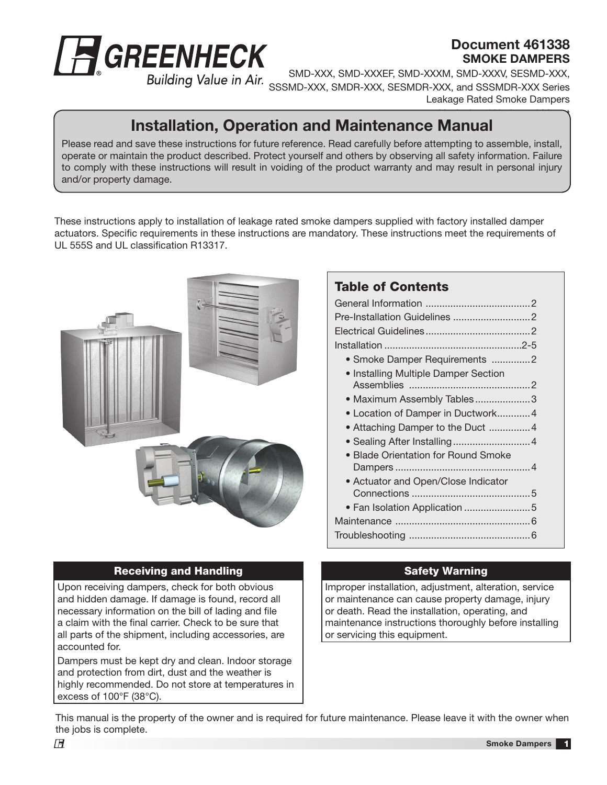

### Document 461338 SMOKE DAMPERS

SMD-XXX, SMD-XXXEF, SMD-XXXM, SMD-XXXV, SESMD-XXX, SSSMD-XXX, SMDR-XXX, SESMDR-XXX, and SSSMDR-XXX Series Leakage Rated Smoke Dampers

#### $\overline{\phantom{a}}$ Installation, Operation and Maintenance Manual

Please read and save these instructions for future reference. Read carefully before attempting to assemble, install, operate or maintain the product described. Protect yourself and others by observing all safety information. Failure to comply with these instructions will result in voiding of the product warranty and may result in personal injury and/or property damage.

These instructions apply to installation of leakage rated smoke dampers supplied with factory installed damper actuators. Specific requirements in these instructions are mandatory. These instructions meet the requirements of UL 555S and UL classification R13317.



#### Receiving and Handling

Upon receiving dampers, check for both obvious and hidden damage. If damage is found, record all necessary information on the bill of lading and file a claim with the final carrier. Check to be sure that all parts of the shipment, including accessories, are accounted for.

Dampers must be kept dry and clean. Indoor storage and protection from dirt, dust and the weather is highly recommended. Do not store at temperatures in excess of 100°F (38°C).

#### Table of Contents

| • Smoke Damper Requirements 2        |  |
|--------------------------------------|--|
| • Installing Multiple Damper Section |  |
| · Maximum Assembly Tables3           |  |
| • Location of Damper in Ductwork 4   |  |
| • Attaching Damper to the Duct 4     |  |
|                                      |  |
| · Blade Orientation for Round Smoke  |  |
|                                      |  |
| • Actuator and Open/Close Indicator  |  |
|                                      |  |
| • Fan Isolation Application 5        |  |
|                                      |  |
|                                      |  |
|                                      |  |

#### Safety Warning

Improper installation, adjustment, alteration, service or maintenance can cause property damage, injury or death. Read the installation, operating, and maintenance instructions thoroughly before installing or servicing this equipment.

This manual is the property of the owner and is required for future maintenance. Please leave it with the owner when the jobs is complete.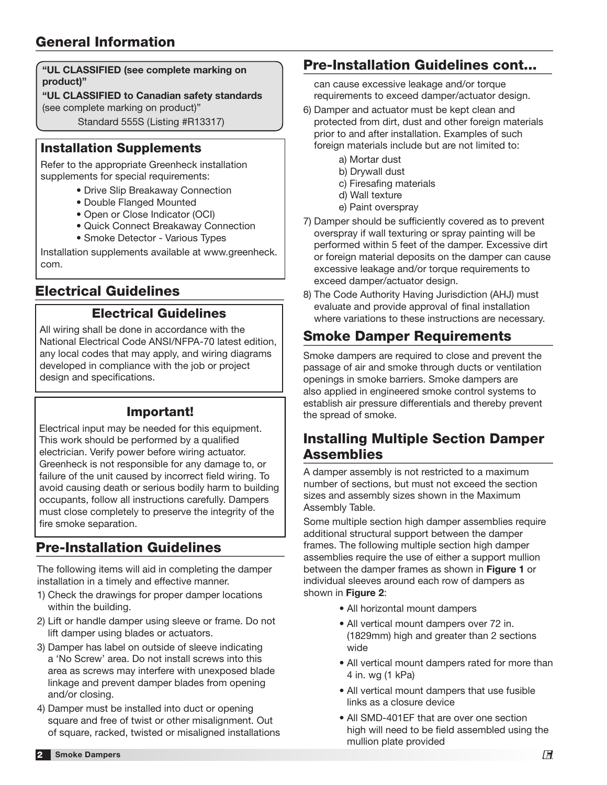"UL CLASSIFIED (see complete marking on product)"

"UL CLASSIFIED to Canadian safety standards (see complete marking on product)"

Standard 555S (Listing #R13317)

#### Installation Supplements

Refer to the appropriate Greenheck installation supplements for special requirements:

- Drive Slip Breakaway Connection
- Double Flanged Mounted
- Open or Close Indicator (OCI)
- Quick Connect Breakaway Connection
- Smoke Detector Various Types

Installation supplements available at www.greenheck. com.

## Electrical Guidelines

#### Electrical Guidelines

All wiring shall be done in accordance with the National Electrical Code ANSI/NFPA-70 latest edition, any local codes that may apply, and wiring diagrams developed in compliance with the job or project design and specifications.

### Important!

Electrical input may be needed for this equipment. This work should be performed by a qualified electrician. Verify power before wiring actuator. Greenheck is not responsible for any damage to, or failure of the unit caused by incorrect field wiring. To avoid causing death or serious bodily harm to building occupants, follow all instructions carefully. Dampers must close completely to preserve the integrity of the fire smoke separation.

# Pre-Installation Guidelines

The following items will aid in completing the damper installation in a timely and effective manner.

- 1) Check the drawings for proper damper locations within the building.
- 2) Lift or handle damper using sleeve or frame. Do not lift damper using blades or actuators.
- 3) Damper has label on outside of sleeve indicating a 'No Screw' area. Do not install screws into this area as screws may interfere with unexposed blade linkage and prevent damper blades from opening and/or closing.
- 4) Damper must be installed into duct or opening square and free of twist or other misalignment. Out of square, racked, twisted or misaligned installations

## Pre-Installation Guidelines cont...

can cause excessive leakage and/or torque requirements to exceed damper/actuator design.

- 6) Damper and actuator must be kept clean and protected from dirt, dust and other foreign materials prior to and after installation. Examples of such foreign materials include but are not limited to:
	- a) Mortar dust
	- b) Drywall dust
	- c) Firesafing materials
	- d) Wall texture
	- e) Paint overspray
- 7) Damper should be sufficiently covered as to prevent overspray if wall texturing or spray painting will be performed within 5 feet of the damper. Excessive dirt or foreign material deposits on the damper can cause excessive leakage and/or torque requirements to exceed damper/actuator design.
- 8) The Code Authority Having Jurisdiction (AHJ) must evaluate and provide approval of final installation where variations to these instructions are necessary.

# Smoke Damper Requirements

Smoke dampers are required to close and prevent the passage of air and smoke through ducts or ventilation openings in smoke barriers. Smoke dampers are also applied in engineered smoke control systems to establish air pressure differentials and thereby prevent the spread of smoke.

### Installing Multiple Section Damper Assemblies

A damper assembly is not restricted to a maximum number of sections, but must not exceed the section sizes and assembly sizes shown in the Maximum Assembly Table.

Some multiple section high damper assemblies require additional structural support between the damper frames. The following multiple section high damper assemblies require the use of either a support mullion between the damper frames as shown in Figure 1 or individual sleeves around each row of dampers as shown in Figure 2:

- All horizontal mount dampers
- All vertical mount dampers over 72 in. (1829mm) high and greater than 2 sections wide
- All vertical mount dampers rated for more than 4 in. wg (1 kPa)
- All vertical mount dampers that use fusible links as a closure device
- All SMD-401EF that are over one section high will need to be field assembled using the mullion plate provided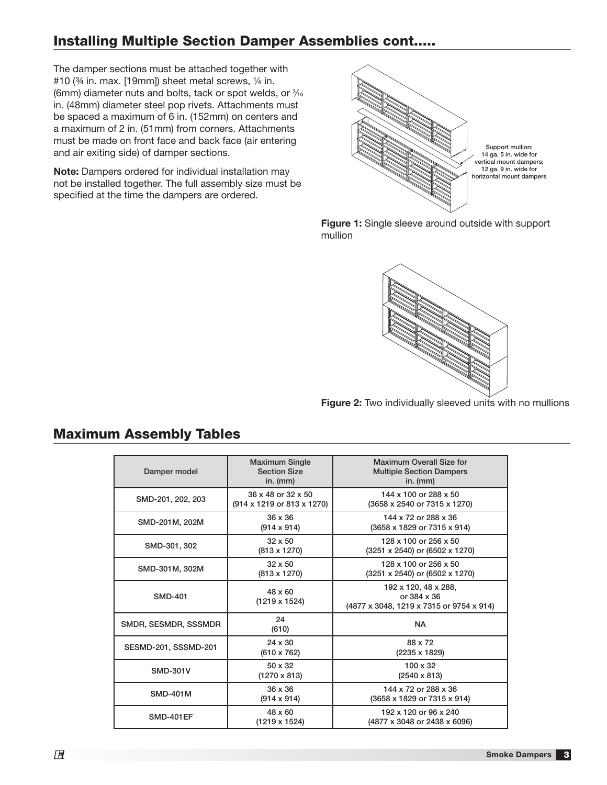## Installing Multiple Section Damper Assemblies cont.....

The damper sections must be attached together with #10 (34 in. max. [19mm]) sheet metal screws, 1/4 in. (6mm) diameter nuts and bolts, tack or spot welds, or  $\frac{3}{16}$ in. (48mm) diameter steel pop rivets. Attachments must be spaced a maximum of 6 in. (152mm) on centers and a maximum of 2 in. (51mm) from corners. Attachments must be made on front face and back face (air entering and air exiting side) of damper sections.

Note: Dampers ordered for individual installation may not be installed together. The full assembly size must be specified at the time the dampers are ordered.



Figure 1: Single sleeve around outside with support mullion



Figure 2: Two individually sleeved units with no mullions

| Damper model         | <b>Maximum Single</b><br><b>Section Size</b><br>in. $(mm)$ | Maximum Overall Size for<br><b>Multiple Section Dampers</b><br>in. $(mm)$              |
|----------------------|------------------------------------------------------------|----------------------------------------------------------------------------------------|
| SMD-201, 202, 203    | 36 x 48 or 32 x 50<br>(914 x 1219 or 813 x 1270)           | 144 x 100 or 288 x 50<br>(3658 x 2540 or 7315 x 1270)                                  |
| SMD-201M, 202M       | $36 \times 36$<br>$(914 \times 914)$                       | 144 x 72 or 288 x 36<br>(3658 x 1829 or 7315 x 914)                                    |
| SMD-301, 302         | $32 \times 50$<br>$(813 \times 1270)$                      | 128 x 100 or 256 x 50<br>(3251 x 2540) or (6502 x 1270)                                |
| SMD-301M, 302M       | $32 \times 50$<br>$(813 \times 1270)$                      | 128 x 100 or 256 x 50<br>(3251 x 2540) or (6502 x 1270)                                |
| <b>SMD-401</b>       | $48 \times 60$<br>$(1219 \times 1524)$                     | 192 x 120, 48 x 288,<br>or $384 \times 36$<br>(4877 x 3048, 1219 x 7315 or 9754 x 914) |
| SMDR, SESMDR, SSSMDR | 24<br>(610)                                                | <b>NA</b>                                                                              |
| SESMD-201, SSSMD-201 | $24 \times 30$<br>$(610 \times 762)$                       | 88 x 72<br>(2235 x 1829)                                                               |
| <b>SMD-301V</b>      | $50 \times 32$<br>$(1270 \times 813)$                      | $100 \times 32$<br>$(2540 \times 813)$                                                 |
| <b>SMD-401M</b>      | $36 \times 36$<br>$(914 \times 914)$                       | 144 x 72 or 288 x 36<br>(3658 x 1829 or 7315 x 914)                                    |
| <b>SMD-401EF</b>     | $48 \times 60$<br>(1219 x 1524)                            | 192 x 120 or 96 x 240<br>(4877 x 3048 or 2438 x 6096)                                  |

### Maximum Assembly Tables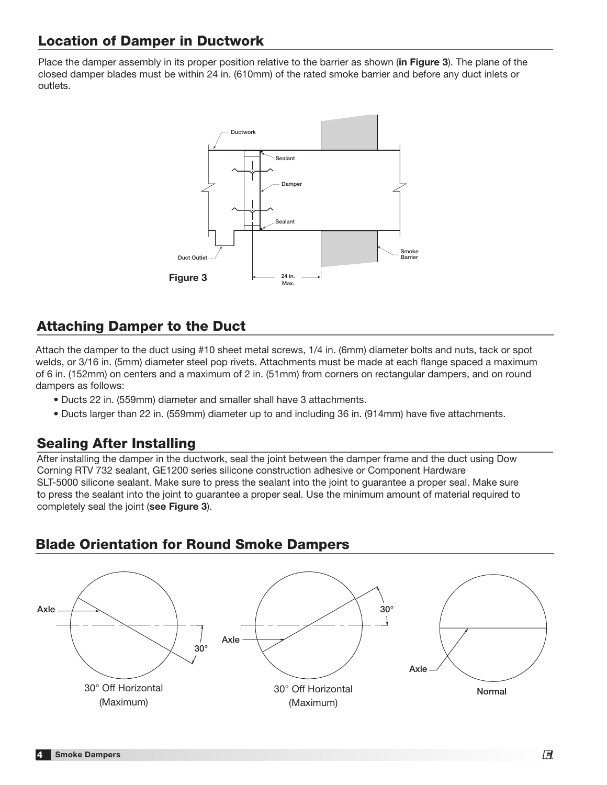## Location of Damper in Ductwork

Place the damper assembly in its proper position relative to the barrier as shown (in Figure 3). The plane of the closed damper blades must be within 24 in. (610mm) of the rated smoke barrier and before any duct inlets or outlets.



### Attaching Damper to the Duct

Attach the damper to the duct using #10 sheet metal screws, 1/4 in. (6mm) diameter bolts and nuts, tack or spot welds, or 3/16 in. (5mm) diameter steel pop rivets. Attachments must be made at each flange spaced a maximum of 6 in. (152mm) on centers and a maximum of 2 in. (51mm) from corners on rectangular dampers, and on round dampers as follows:

- Ducts 22 in. (559mm) diameter and smaller shall have 3 attachments.
- Ducts larger than 22 in. (559mm) diameter up to and including 36 in. (914mm) have five attachments.

#### Sealing After Installing

After installing the damper in the ductwork, seal the joint between the damper frame and the duct using Dow Corning RTV 732 sealant, GE1200 series silicone construction adhesive or Component Hardware SLT-5000 silicone sealant. Make sure to press the sealant into the joint to guarantee a proper seal. Make sure to press the sealant into the joint to guarantee a proper seal. Use the minimum amount of material required to completely seal the joint (see Figure 3).

### Blade Orientation for Round Smoke Dampers

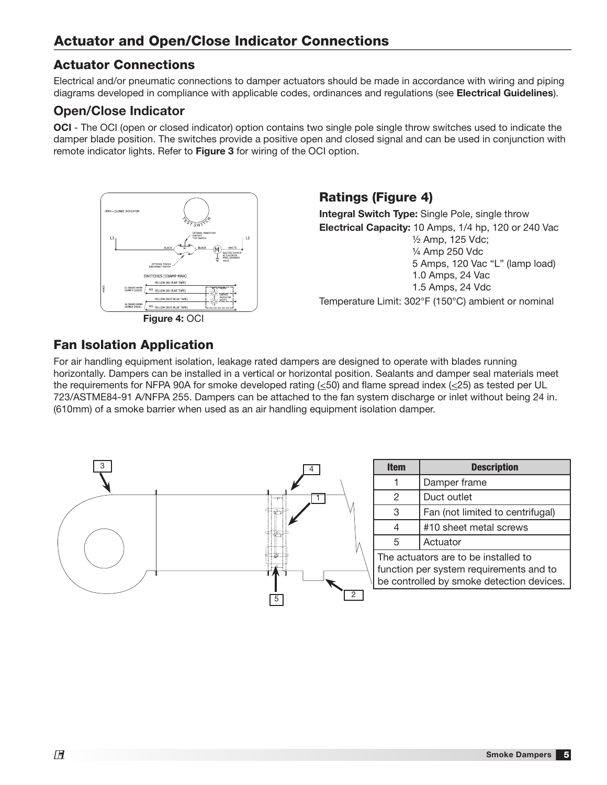#### Actuator Connections

Electrical and/or pneumatic connections to damper actuators should be made in accordance with wiring and piping diagrams developed in compliance with applicable codes, ordinances and regulations (see Electrical Guidelines).

#### Open/Close Indicator

OCI - The OCI (open or closed indicator) option contains two single pole single throw switches used to indicate the damper blade position. The switches provide a positive open and closed signal and can be used in conjunction with remote indicator lights. Refer to **Figure 3** for wiring of the OCI option.



Ratings (Figure 4)

**Integral Switch Type:** Single Pole, single throw Electrical Capacity: 10 Amps, 1/4 hp, 120 or 240 Vac 1/2 Amp, 125 Vdc; 1/4 Amp 250 Vdc 5 Amps, 120 Vac "L" (lamp load) 1.0 Amps, 24 Vac 1.5 Amps, 24 Vdc Temperature Limit: 302°F (150°C) ambient or nominal

# Fan Isolation Application

For air handling equipment isolation, leakage rated dampers are designed to operate with blades running horizontally. Dampers can be installed in a vertical or horizontal position. Sealants and damper seal materials meet the requirements for NFPA 90A for smoke developed rating  $(\leq 50)$  and flame spread index  $(\leq 25)$  as tested per UL 723/ASTME84-91 A/NFPA 255. Dampers can be attached to the fan system discharge or inlet without being 24 in. (610mm) of a smoke barrier when used as an air handling equipment isolation damper.

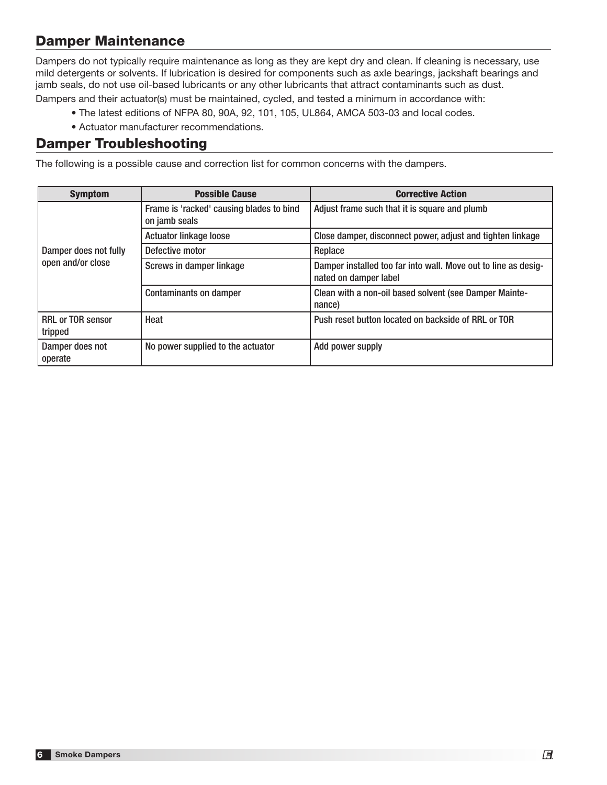## Damper Maintenance

Dampers do not typically require maintenance as long as they are kept dry and clean. If cleaning is necessary, use mild detergents or solvents. If lubrication is desired for components such as axle bearings, jackshaft bearings and jamb seals, do not use oil-based lubricants or any other lubricants that attract contaminants such as dust.

Dampers and their actuator(s) must be maintained, cycled, and tested a minimum in accordance with:

- The latest editions of NFPA 80, 90A, 92, 101, 105, UL864, AMCA 503-03 and local codes.
- Actuator manufacturer recommendations.

#### Damper Troubleshooting

The following is a possible cause and correction list for common concerns with the dampers.

| <b>Symptom</b>                             | <b>Possible Cause</b>                                     | <b>Corrective Action</b>                                                                |
|--------------------------------------------|-----------------------------------------------------------|-----------------------------------------------------------------------------------------|
| Damper does not fully<br>open and/or close | Frame is 'racked' causing blades to bind<br>on jamb seals | Adjust frame such that it is square and plumb                                           |
|                                            | <b>Actuator linkage loose</b>                             | Close damper, disconnect power, adjust and tighten linkage                              |
|                                            | Defective motor                                           | Replace                                                                                 |
|                                            | Screws in damper linkage                                  | Damper installed too far into wall. Move out to line as desig-<br>nated on damper label |
|                                            | <b>Contaminants on damper</b>                             | Clean with a non-oil based solvent (see Damper Mainte-<br>nance)                        |
| <b>RRL or TOR sensor</b><br>tripped        | Heat                                                      | Push reset button located on backside of RRL or TOR                                     |
| Damper does not<br>operate                 | No power supplied to the actuator                         | Add power supply                                                                        |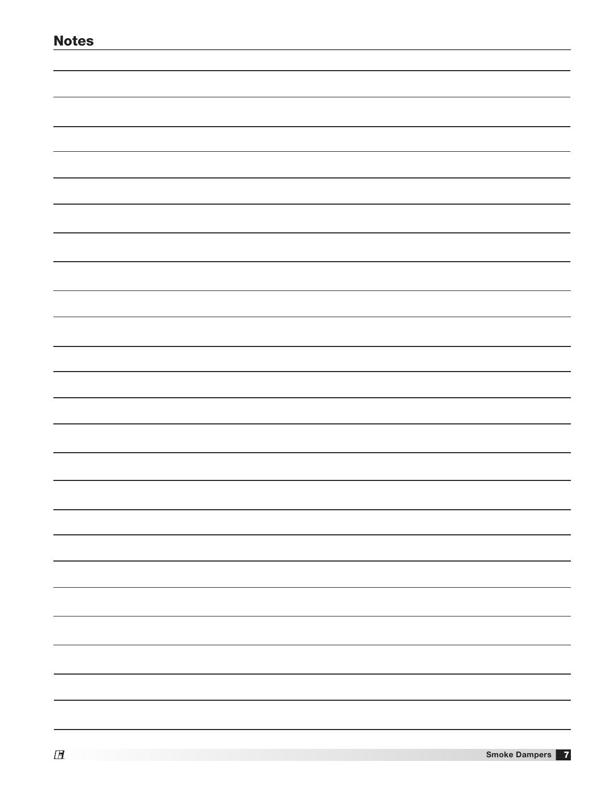| <b>Notes</b> |
|--------------|
|              |
|              |
|              |
|              |
|              |
|              |
|              |
|              |
|              |
|              |
|              |
|              |
|              |
|              |
|              |
|              |
|              |
|              |
|              |
|              |
|              |
|              |
|              |
|              |
|              |
|              |
|              |
|              |
|              |
|              |